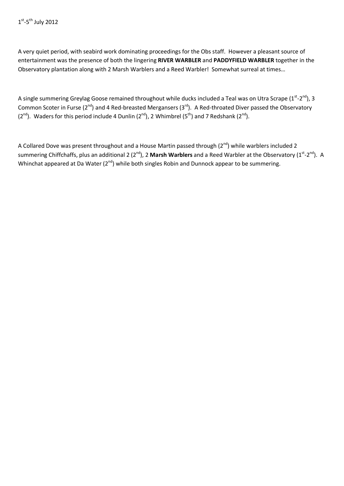A very quiet period, with seabird work dominating proceedings for the Obs staff. However a pleasant source of entertainment was the presence of both the lingering **RIVER WARBLER** and **PADDYFIELD WARBLER** together in the Observatory plantation along with 2 Marsh Warblers and a Reed Warbler! Somewhat surreal at times…

A single summering Greylag Goose remained throughout while ducks included a Teal was on Utra Scrape ( $1^{st}$ - $2^{nd}$ ), 3 Common Scoter in Furse ( $2^{nd}$ ) and 4 Red-breasted Mergansers ( $3^{rd}$ ). A Red-throated Diver passed the Observatory  $(2^{nd})$ . Waders for this period include 4 Dunlin  $(2^{nd})$ , 2 Whimbrel  $(5^{th})$  and 7 Redshank  $(2^{nd})$ .

A Collared Dove was present throughout and a House Martin passed through (2<sup>nd</sup>) while warblers included 2 summering Chiffchaffs, plus an additional 2 (2<sup>nd</sup>), 2 Marsh Warblers and a Reed Warbler at the Observatory (1<sup>st</sup>-2<sup>nd</sup>). A Whinchat appeared at Da Water (2<sup>nd</sup>) while both singles Robin and Dunnock appear to be summering.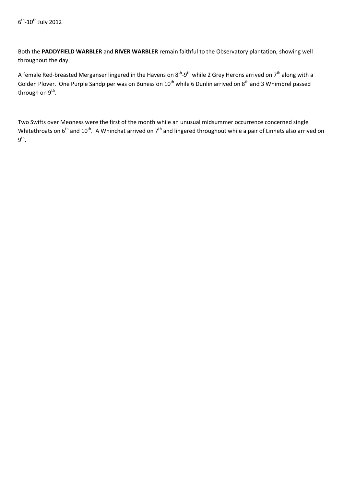Both the **PADDYFIELD WARBLER** and **RIVER WARBLER** remain faithful to the Observatory plantation, showing well throughout the day.

A female Red-breasted Merganser lingered in the Havens on  $8^{th}$ -9<sup>th</sup> while 2 Grey Herons arrived on 7<sup>th</sup> along with a Golden Plover. One Purple Sandpiper was on Buness on 10<sup>th</sup> while 6 Dunlin arrived on 8<sup>th</sup> and 3 Whimbrel passed through on  $9<sup>th</sup>$ .

Two Swifts over Meoness were the first of the month while an unusual midsummer occurrence concerned single Whitethroats on  $6<sup>th</sup>$  and  $10<sup>th</sup>$ . A Whinchat arrived on  $7<sup>th</sup>$  and lingered throughout while a pair of Linnets also arrived on  $9^{th}$ .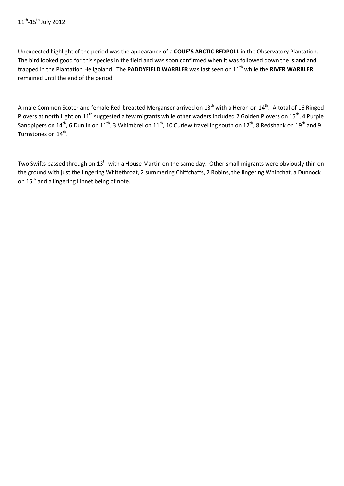Unexpected highlight of the period was the appearance of a **COUE'S ARCTIC REDPOLL** in the Observatory Plantation. The bird looked good for this species in the field and was soon confirmed when it was followed down the island and trapped in the Plantation Heligoland. The **PADDYFIELD WARBLER** was last seen on 11th while the **RIVER WARBLER**  remained until the end of the period.

A male Common Scoter and female Red-breasted Merganser arrived on 13<sup>th</sup> with a Heron on 14<sup>th</sup>. A total of 16 Ringed Plovers at north Light on 11<sup>th</sup> suggested a few migrants while other waders included 2 Golden Plovers on 15<sup>th</sup>, 4 Purple Sandpipers on  $14^{\text{th}}$ , 6 Dunlin on  $11^{\text{th}}$ , 3 Whimbrel on  $11^{\text{th}}$ , 10 Curlew travelling south on  $12^{\text{th}}$ , 8 Redshank on  $19^{\text{th}}$  and 9 Turnstones on 14<sup>th</sup>.

Two Swifts passed through on 13<sup>th</sup> with a House Martin on the same day. Other small migrants were obviously thin on the ground with just the lingering Whitethroat, 2 summering Chiffchaffs, 2 Robins, the lingering Whinchat, a Dunnock on 15<sup>th</sup> and a lingering Linnet being of note.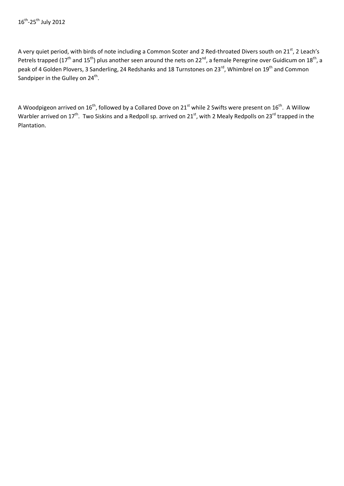A very quiet period, with birds of note including a Common Scoter and 2 Red-throated Divers south on 21<sup>st</sup>, 2 Leach's Petrels trapped (17<sup>th</sup> and 15<sup>th</sup>) plus another seen around the nets on 22<sup>nd</sup>, a female Peregrine over Guidicum on 18<sup>th</sup>, a peak of 4 Golden Plovers, 3 Sanderling, 24 Redshanks and 18 Turnstones on 23<sup>rd</sup>, Whimbrel on 19<sup>th</sup> and Common Sandpiper in the Gulley on  $24<sup>th</sup>$ .

A Woodpigeon arrived on 16<sup>th</sup>, followed by a Collared Dove on 21<sup>st</sup> while 2 Swifts were present on 16<sup>th</sup>. A Willow Warbler arrived on 17<sup>th</sup>. Two Siskins and a Redpoll sp. arrived on 21<sup>st</sup>, with 2 Mealy Redpolls on 23<sup>rd</sup> trapped in the Plantation.